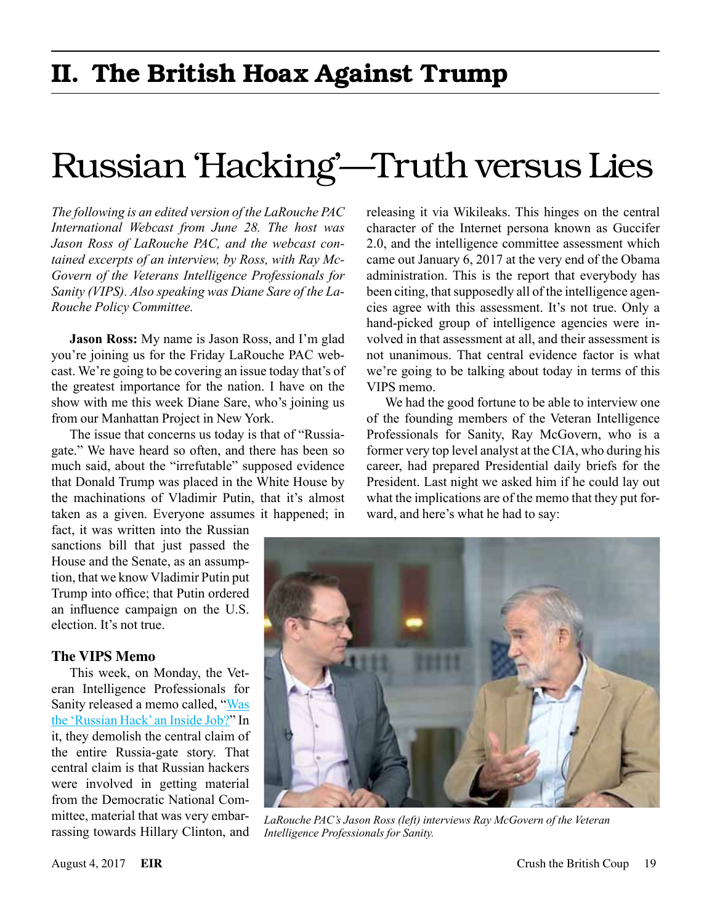# Russian 'Hacking'—Truth versus Lies

*The following is an edited version of the LaRouche PAC International Webcast from June 28. The host was Jason Ross of LaRouche PAC, and the webcast contained excerpts of an interview, by Ross, with Ray Mc-Govern of the Veterans Intelligence Professionals for Sanity (VIPS). Also speaking was Diane Sare of the La-Rouche Policy Committee.*

**Jason Ross:** My name is Jason Ross, and I'm glad you're joining us for the Friday LaRouche PAC webcast. We're going to be covering an issue today that's of the greatest importance for the nation. I have on the show with me this week Diane Sare, who's joining us from our Manhattan Project in New York.

The issue that concerns us today is that of "Russiagate." We have heard so often, and there has been so much said, about the "irrefutable" supposed evidence that Donald Trump was placed in the White House by the machinations of Vladimir Putin, that it's almost taken as a given. Everyone assumes it happened; in

fact, it was written into the Russian sanctions bill that just passed the House and the Senate, as an assumption, that we know Vladimir Putin put Trump into office; that Putin ordered an influence campaign on the U.S. election. It's not true.

# **The VIPS Memo**

This week, on Monday, the Veteran Intelligence Professionals for Sanity released a memo called, ["Was](http://www.larouchepub.com/other/2017/4430_vips_expose_rus-gate.html)  [the 'Russian Hack' an Inside Job?"](http://www.larouchepub.com/other/2017/4430_vips_expose_rus-gate.html) In it, they demolish the central claim of the entire Russia-gate story. That central claim is that Russian hackers were involved in getting material from the Democratic National Committee, material that was very embarrassing towards Hillary Clinton, and

releasing it via Wikileaks. This hinges on the central character of the Internet persona known as Guccifer 2.0, and the intelligence committee assessment which came out January 6, 2017 at the very end of the Obama administration. This is the report that everybody has been citing, that supposedly all of the intelligence agencies agree with this assessment. It's not true. Only a hand-picked group of intelligence agencies were involved in that assessment at all, and their assessment is not unanimous. That central evidence factor is what we're going to be talking about today in terms of this VIPS memo.

We had the good fortune to be able to interview one of the founding members of the Veteran Intelligence Professionals for Sanity, Ray McGovern, who is a former very top level analyst at the CIA, who during his career, had prepared Presidential daily briefs for the President. Last night we asked him if he could lay out what the implications are of the memo that they put forward, and here's what he had to say:



*LaRouche PAC's Jason Ross (left) interviews Ray McGovern of the Veteran Intelligence Professionals for Sanity.*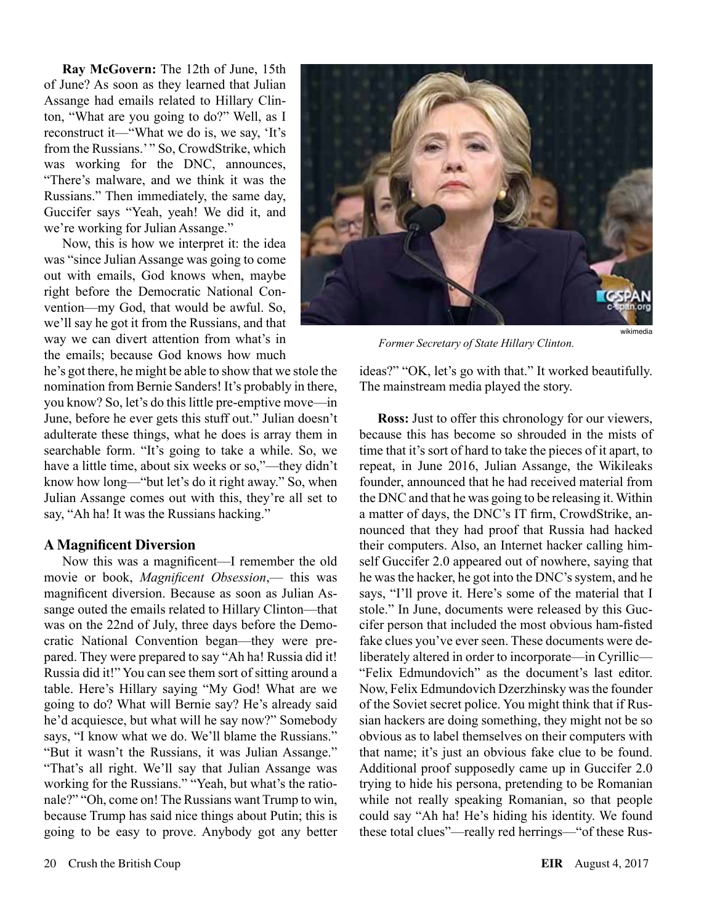**Ray McGovern:** The 12th of June, 15th of June? As soon as they learned that Julian Assange had emails related to Hillary Clinton, "What are you going to do?" Well, as I reconstruct it—"What we do is, we say, 'It's from the Russians.'" So, CrowdStrike, which was working for the DNC, announces, "There's malware, and we think it was the Russians." Then immediately, the same day, Guccifer says "Yeah, yeah! We did it, and we're working for Julian Assange."

Now, this is how we interpret it: the idea was "since Julian Assange was going to come out with emails, God knows when, maybe right before the Democratic National Convention—my God, that would be awful. So, we'll say he got it from the Russians, and that way we can divert attention from what's in the emails; because God knows how much

he's got there, he might be able to show that we stole the nomination from Bernie Sanders! It's probably in there, you know? So, let's do this little pre-emptive move—in June, before he ever gets this stuff out." Julian doesn't adulterate these things, what he does is array them in searchable form. "It's going to take a while. So, we have a little time, about six weeks or so,"—they didn't know how long—"but let's do it right away." So, when Julian Assange comes out with this, they're all set to say, "Ah ha! It was the Russians hacking."

# **A Magnificent Diversion**

Now this was a magnificent—I remember the old movie or book, *Magnificent Obsession*,— this was magnificent diversion. Because as soon as Julian Assange outed the emails related to Hillary Clinton—that was on the 22nd of July, three days before the Democratic National Convention began—they were prepared. They were prepared to say "Ah ha! Russia did it! Russia did it!" You can see them sort of sitting around a table. Here's Hillary saying "My God! What are we going to do? What will Bernie say? He's already said he'd acquiesce, but what will he say now?" Somebody says, "I know what we do. We'll blame the Russians." "But it wasn't the Russians, it was Julian Assange." "That's all right. We'll say that Julian Assange was working for the Russians." "Yeah, but what's the rationale?" "Oh, come on! The Russians want Trump to win, because Trump has said nice things about Putin; this is going to be easy to prove. Anybody got any better



*Former Secretary of State Hillary Clinton.*

ideas?" "OK, let's go with that." It worked beautifully. The mainstream media played the story.

**Ross:** Just to offer this chronology for our viewers, because this has become so shrouded in the mists of time that it's sort of hard to take the pieces of it apart, to repeat, in June 2016, Julian Assange, the Wikileaks founder, announced that he had received material from the DNC and that he was going to be releasing it. Within a matter of days, the DNC's IT firm, CrowdStrike, announced that they had proof that Russia had hacked their computers. Also, an Internet hacker calling himself Guccifer 2.0 appeared out of nowhere, saying that he was the hacker, he got into the DNC's system, and he says, "I'll prove it. Here's some of the material that I stole." In June, documents were released by this Guccifer person that included the most obvious ham-fisted fake clues you've ever seen. These documents were deliberately altered in order to incorporate—in Cyrillic— "Felix Edmundovich" as the document's last editor. Now, Felix Edmundovich Dzerzhinsky was the founder of the Soviet secret police. You might think that if Russian hackers are doing something, they might not be so obvious as to label themselves on their computers with that name; it's just an obvious fake clue to be found. Additional proof supposedly came up in Guccifer 2.0 trying to hide his persona, pretending to be Romanian while not really speaking Romanian, so that people could say "Ah ha! He's hiding his identity. We found these total clues"—really red herrings—"of these Rus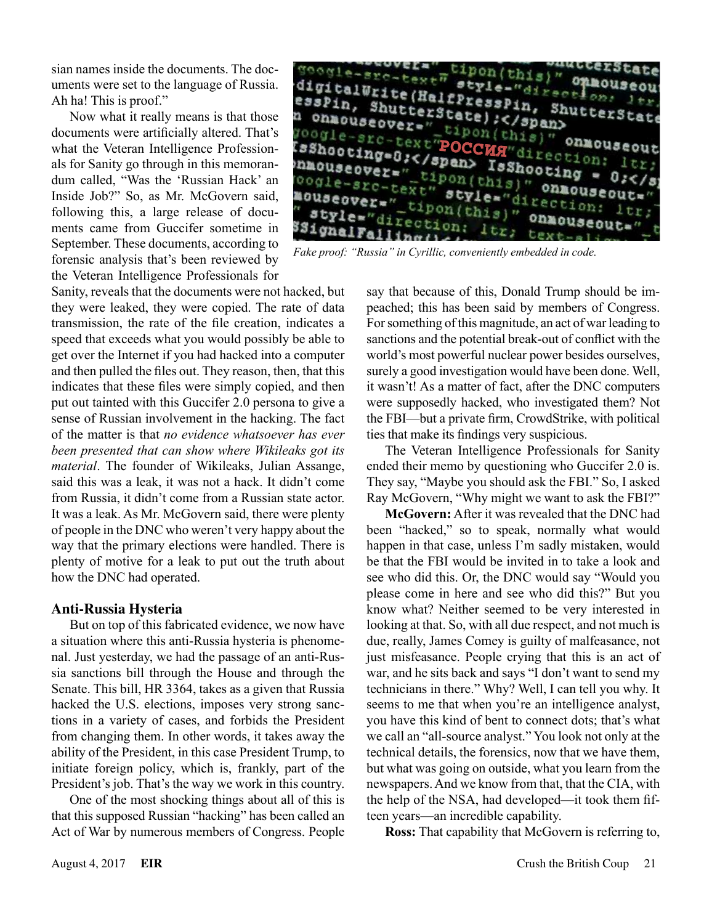sian names inside the documents. The documents were set to the language of Russia. Ah ha! This is proof."

Now what it really means is that those documents were artificially altered. That's what the Veteran Intelligence Professionals for Sanity go through in this memorandum called, "Was the 'Russian Hack' an Inside Job?" So, as Mr. McGovern said, following this, a large release of documents came from Guccifer sometime in September. These documents, according to forensic analysis that's been reviewed by the Veteran Intelligence Professionals for

 $p$ on (  $\text{this}$ <sup>"</sup> digitalWrite(HalfPressPin, ShutterState)<br>essPin, ShutterState);</span> essPin, ShutterState) :</span> n onmouseover=" tipon(this)" onmouseout<br> **RSADOCING=0:</span> IsShooting = 0:</span> IsShooting = 0:</span> IsShooting = 0:</span> IsShooting = 0:</s** " onmouseout nouseover="\_tipon(this)" onmo-<br>nouseover="\_tipon(this)" onmo<br>"strle="\_tipon(this)"  $\frac{\text{direct}_{0}}{\text{cction}}$   $\frac{\text{direct}_{0}}{\text{onnous}}$ style="dir  $ion: 1tr.$ 33ignalFal

*Fake proof: "Russia" in Cyrillic, conveniently embedded in code.*

Sanity, reveals that the documents were not hacked, but they were leaked, they were copied. The rate of data transmission, the rate of the file creation, indicates a speed that exceeds what you would possibly be able to get over the Internet if you had hacked into a computer and then pulled the files out. They reason, then, that this indicates that these files were simply copied, and then put out tainted with this Guccifer 2.0 persona to give a sense of Russian involvement in the hacking. The fact of the matter is that *no evidence whatsoever has ever been presented that can show where Wikileaks got its material*. The founder of Wikileaks, Julian Assange, said this was a leak, it was not a hack. It didn't come from Russia, it didn't come from a Russian state actor. It was a leak. As Mr. McGovern said, there were plenty of people in the DNC who weren't very happy about the way that the primary elections were handled. There is plenty of motive for a leak to put out the truth about how the DNC had operated.

#### **Anti-Russia Hysteria**

But on top of this fabricated evidence, we now have a situation where this anti-Russia hysteria is phenomenal. Just yesterday, we had the passage of an anti-Russia sanctions bill through the House and through the Senate. This bill, HR 3364, takes as a given that Russia hacked the U.S. elections, imposes very strong sanctions in a variety of cases, and forbids the President from changing them. In other words, it takes away the ability of the President, in this case President Trump, to initiate foreign policy, which is, frankly, part of the President's job. That's the way we work in this country.

One of the most shocking things about all of this is that this supposed Russian "hacking" has been called an Act of War by numerous members of Congress. People say that because of this, Donald Trump should be impeached; this has been said by members of Congress. For something of this magnitude, an act of war leading to sanctions and the potential break-out of conflict with the world's most powerful nuclear power besides ourselves, surely a good investigation would have been done. Well, it wasn't! As a matter of fact, after the DNC computers were supposedly hacked, who investigated them? Not the FBI—but a private firm, CrowdStrike, with political ties that make its findings very suspicious.

The Veteran Intelligence Professionals for Sanity ended their memo by questioning who Guccifer 2.0 is. They say, "Maybe you should ask the FBI." So, I asked Ray McGovern, "Why might we want to ask the FBI?"

**McGovern:** After it was revealed that the DNC had been "hacked," so to speak, normally what would happen in that case, unless I'm sadly mistaken, would be that the FBI would be invited in to take a look and see who did this. Or, the DNC would say "Would you please come in here and see who did this?" But you know what? Neither seemed to be very interested in looking at that. So, with all due respect, and not much is due, really, James Comey is guilty of malfeasance, not just misfeasance. People crying that this is an act of war, and he sits back and says "I don't want to send my technicians in there." Why? Well, I can tell you why. It seems to me that when you're an intelligence analyst, you have this kind of bent to connect dots; that's what we call an "all-source analyst." You look not only at the technical details, the forensics, now that we have them, but what was going on outside, what you learn from the newspapers. And we know from that, that the CIA, with the help of the NSA, had developed—it took them fifteen years—an incredible capability.

**Ross:** That capability that McGovern is referring to,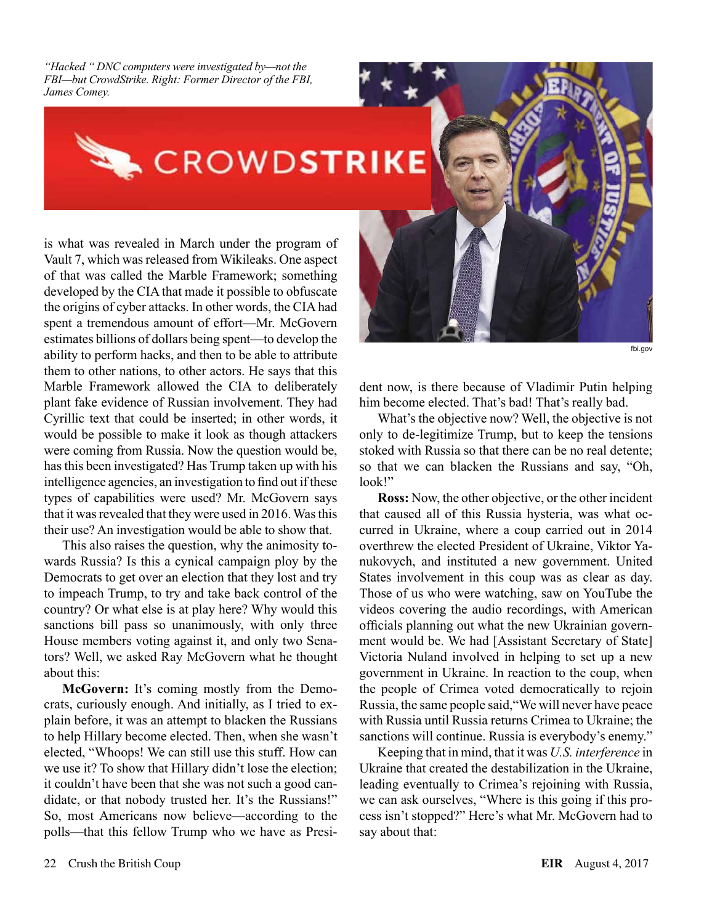*"Hacked " DNC computers were investigated by—not the FBI—but CrowdStrike. Right: Former Director of the FBI, James Comey.*

# CROWDSTRIKE

is what was revealed in March under the program of Vault 7, which was released from Wikileaks. One aspect of that was called the Marble Framework; something developed by the CIA that made it possible to obfuscate the origins of cyber attacks. In other words, the CIA had spent a tremendous amount of effort—Mr. McGovern estimates billions of dollars being spent—to develop the ability to perform hacks, and then to be able to attribute them to other nations, to other actors. He says that this Marble Framework allowed the CIA to deliberately plant fake evidence of Russian involvement. They had Cyrillic text that could be inserted; in other words, it would be possible to make it look as though attackers were coming from Russia. Now the question would be, has this been investigated? Has Trump taken up with his intelligence agencies, an investigation to find out if these types of capabilities were used? Mr. McGovern says that it was revealed that they were used in 2016. Was this their use? An investigation would be able to show that.

This also raises the question, why the animosity towards Russia? Is this a cynical campaign ploy by the Democrats to get over an election that they lost and try to impeach Trump, to try and take back control of the country? Or what else is at play here? Why would this sanctions bill pass so unanimously, with only three House members voting against it, and only two Senators? Well, we asked Ray McGovern what he thought about this:

**McGovern:** It's coming mostly from the Democrats, curiously enough. And initially, as I tried to explain before, it was an attempt to blacken the Russians to help Hillary become elected. Then, when she wasn't elected, "Whoops! We can still use this stuff. How can we use it? To show that Hillary didn't lose the election; it couldn't have been that she was not such a good candidate, or that nobody trusted her. It's the Russians!" So, most Americans now believe—according to the polls—that this fellow Trump who we have as President now, is there because of Vladimir Putin helping him become elected. That's bad! That's really bad.

fbi.gov

What's the objective now? Well, the objective is not only to de-legitimize Trump, but to keep the tensions stoked with Russia so that there can be no real detente; so that we can blacken the Russians and say, "Oh, look!"

**Ross:** Now, the other objective, or the other incident that caused all of this Russia hysteria, was what occurred in Ukraine, where a coup carried out in 2014 overthrew the elected President of Ukraine, Viktor Yanukovych, and instituted a new government. United States involvement in this coup was as clear as day. Those of us who were watching, saw on YouTube the videos covering the audio recordings, with American officials planning out what the new Ukrainian government would be. We had [Assistant Secretary of State] Victoria Nuland involved in helping to set up a new government in Ukraine. In reaction to the coup, when the people of Crimea voted democratically to rejoin Russia, the same people said,"We will never have peace with Russia until Russia returns Crimea to Ukraine; the sanctions will continue. Russia is everybody's enemy."

Keeping that in mind, that it was *U.S. interference* in Ukraine that created the destabilization in the Ukraine, leading eventually to Crimea's rejoining with Russia, we can ask ourselves, "Where is this going if this process isn't stopped?" Here's what Mr. McGovern had to say about that: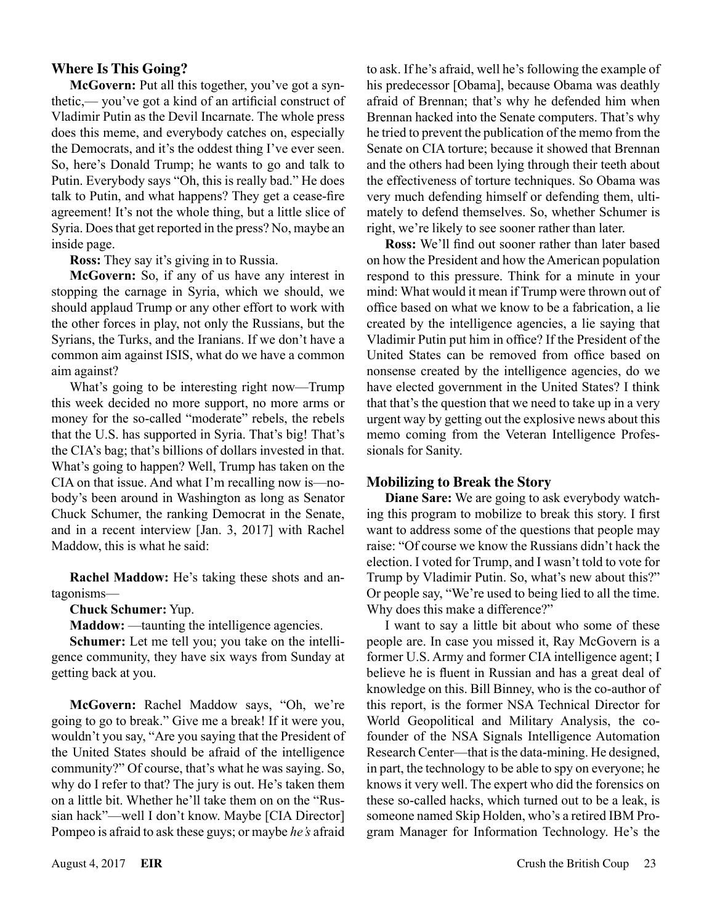# **Where Is This Going?**

**McGovern:** Put all this together, you've got a synthetic,— you've got a kind of an artificial construct of Vladimir Putin as the Devil Incarnate. The whole press does this meme, and everybody catches on, especially the Democrats, and it's the oddest thing I've ever seen. So, here's Donald Trump; he wants to go and talk to Putin. Everybody says "Oh, this is really bad." He does talk to Putin, and what happens? They get a cease-fire agreement! It's not the whole thing, but a little slice of Syria. Does that get reported in the press? No, maybe an inside page.

**Ross:** They say it's giving in to Russia.

**McGovern:** So, if any of us have any interest in stopping the carnage in Syria, which we should, we should applaud Trump or any other effort to work with the other forces in play, not only the Russians, but the Syrians, the Turks, and the Iranians. If we don't have a common aim against ISIS, what do we have a common aim against?

What's going to be interesting right now—Trump this week decided no more support, no more arms or money for the so-called "moderate" rebels, the rebels that the U.S. has supported in Syria. That's big! That's the CIA's bag; that's billions of dollars invested in that. What's going to happen? Well, Trump has taken on the CIA on that issue. And what I'm recalling now is—nobody's been around in Washington as long as Senator Chuck Schumer, the ranking Democrat in the Senate, and in a recent interview [Jan. 3, 2017] with Rachel Maddow, this is what he said:

**Rachel Maddow:** He's taking these shots and antagonisms—

#### **Chuck Schumer:** Yup.

**Maddow:** —taunting the intelligence agencies.

**Schumer:** Let me tell you; you take on the intelligence community, they have six ways from Sunday at getting back at you.

**McGovern:** Rachel Maddow says, "Oh, we're going to go to break." Give me a break! If it were you, wouldn't you say, "Are you saying that the President of the United States should be afraid of the intelligence community?" Of course, that's what he was saying. So, why do I refer to that? The jury is out. He's taken them on a little bit. Whether he'll take them on on the "Russian hack"—well I don't know. Maybe [CIA Director] Pompeo is afraid to ask these guys; or maybe *he's* afraid to ask. If he's afraid, well he's following the example of his predecessor [Obama], because Obama was deathly afraid of Brennan; that's why he defended him when Brennan hacked into the Senate computers. That's why he tried to prevent the publication of the memo from the Senate on CIA torture; because it showed that Brennan and the others had been lying through their teeth about the effectiveness of torture techniques. So Obama was very much defending himself or defending them, ultimately to defend themselves. So, whether Schumer is right, we're likely to see sooner rather than later.

**Ross:** We'll find out sooner rather than later based on how the President and how the American population respond to this pressure. Think for a minute in your mind: What would it mean if Trump were thrown out of office based on what we know to be a fabrication, a lie created by the intelligence agencies, a lie saying that Vladimir Putin put him in office? If the President of the United States can be removed from office based on nonsense created by the intelligence agencies, do we have elected government in the United States? I think that that's the question that we need to take up in a very urgent way by getting out the explosive news about this memo coming from the Veteran Intelligence Professionals for Sanity.

#### **Mobilizing to Break the Story**

**Diane Sare:** We are going to ask everybody watching this program to mobilize to break this story. I first want to address some of the questions that people may raise: "Of course we know the Russians didn't hack the election. I voted for Trump, and I wasn't told to vote for Trump by Vladimir Putin. So, what's new about this?" Or people say, "We're used to being lied to all the time. Why does this make a difference?"

I want to say a little bit about who some of these people are. In case you missed it, Ray McGovern is a former U.S. Army and former CIA intelligence agent; I believe he is fluent in Russian and has a great deal of knowledge on this. Bill Binney, who is the co-author of this report, is the former NSA Technical Director for World Geopolitical and Military Analysis, the cofounder of the NSA Signals Intelligence Automation Research Center—that is the data-mining. He designed, in part, the technology to be able to spy on everyone; he knows it very well. The expert who did the forensics on these so-called hacks, which turned out to be a leak, is someone named Skip Holden, who's a retired IBM Program Manager for Information Technology. He's the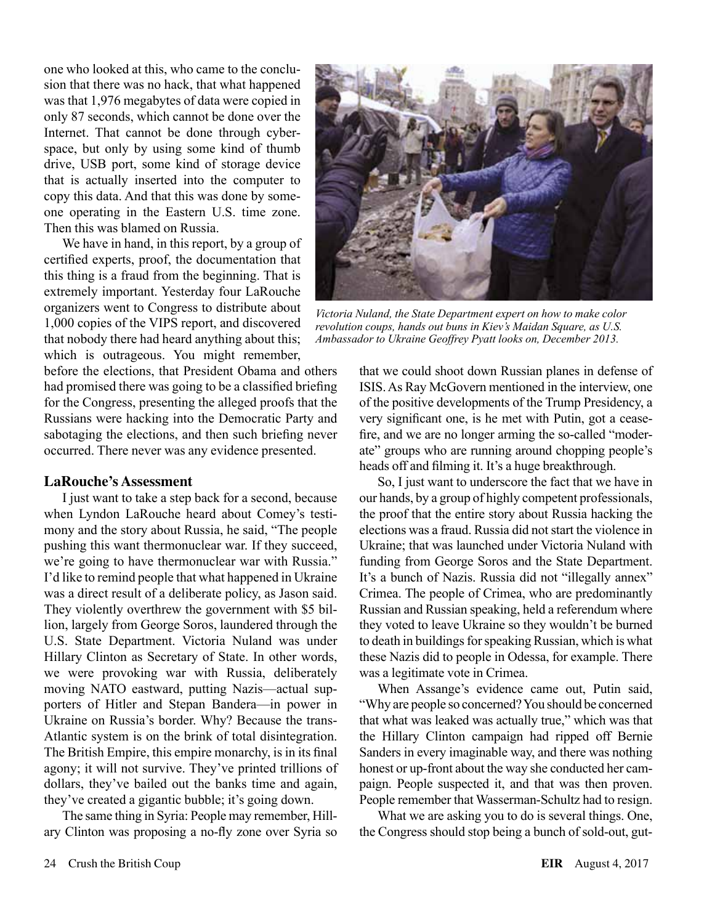one who looked at this, who came to the conclusion that there was no hack, that what happened was that 1,976 megabytes of data were copied in only 87 seconds, which cannot be done over the Internet. That cannot be done through cyberspace, but only by using some kind of thumb drive, USB port, some kind of storage device that is actually inserted into the computer to copy this data. And that this was done by someone operating in the Eastern U.S. time zone. Then this was blamed on Russia.

We have in hand, in this report, by a group of certified experts, proof, the documentation that this thing is a fraud from the beginning. That is extremely important. Yesterday four LaRouche organizers went to Congress to distribute about 1,000 copies of the VIPS report, and discovered that nobody there had heard anything about this; which is outrageous. You might remember,

before the elections, that President Obama and others had promised there was going to be a classified briefing for the Congress, presenting the alleged proofs that the Russians were hacking into the Democratic Party and sabotaging the elections, and then such briefing never occurred. There never was any evidence presented.

#### **LaRouche's Assessment**

I just want to take a step back for a second, because when Lyndon LaRouche heard about Comey's testimony and the story about Russia, he said, "The people pushing this want thermonuclear war. If they succeed, we're going to have thermonuclear war with Russia." I'd like to remind people that what happened in Ukraine was a direct result of a deliberate policy, as Jason said. They violently overthrew the government with \$5 billion, largely from George Soros, laundered through the U.S. State Department. Victoria Nuland was under Hillary Clinton as Secretary of State. In other words, we were provoking war with Russia, deliberately moving NATO eastward, putting Nazis—actual supporters of Hitler and Stepan Bandera—in power in Ukraine on Russia's border. Why? Because the trans-Atlantic system is on the brink of total disintegration. The British Empire, this empire monarchy, is in its final agony; it will not survive. They've printed trillions of dollars, they've bailed out the banks time and again, they've created a gigantic bubble; it's going down.

The same thing in Syria: People may remember, Hillary Clinton was proposing a no-fly zone over Syria so



*Victoria Nuland, the State Department expert on how to make color revolution coups, hands out buns in Kiev's Maidan Square, as U.S. Ambassador to Ukraine Geoffrey Pyatt looks on, December 2013.*

that we could shoot down Russian planes in defense of ISIS. As Ray McGovern mentioned in the interview, one of the positive developments of the Trump Presidency, a very significant one, is he met with Putin, got a ceasefire, and we are no longer arming the so-called "moderate" groups who are running around chopping people's heads off and filming it. It's a huge breakthrough.

So, I just want to underscore the fact that we have in our hands, by a group of highly competent professionals, the proof that the entire story about Russia hacking the elections was a fraud. Russia did not start the violence in Ukraine; that was launched under Victoria Nuland with funding from George Soros and the State Department. It's a bunch of Nazis. Russia did not "illegally annex" Crimea. The people of Crimea, who are predominantly Russian and Russian speaking, held a referendum where they voted to leave Ukraine so they wouldn't be burned to death in buildings for speaking Russian, which is what these Nazis did to people in Odessa, for example. There was a legitimate vote in Crimea.

When Assange's evidence came out, Putin said, "Why are people so concerned? You should be concerned that what was leaked was actually true," which was that the Hillary Clinton campaign had ripped off Bernie Sanders in every imaginable way, and there was nothing honest or up-front about the way she conducted her campaign. People suspected it, and that was then proven. People remember that Wasserman-Schultz had to resign.

What we are asking you to do is several things. One, the Congress should stop being a bunch of sold-out, gut